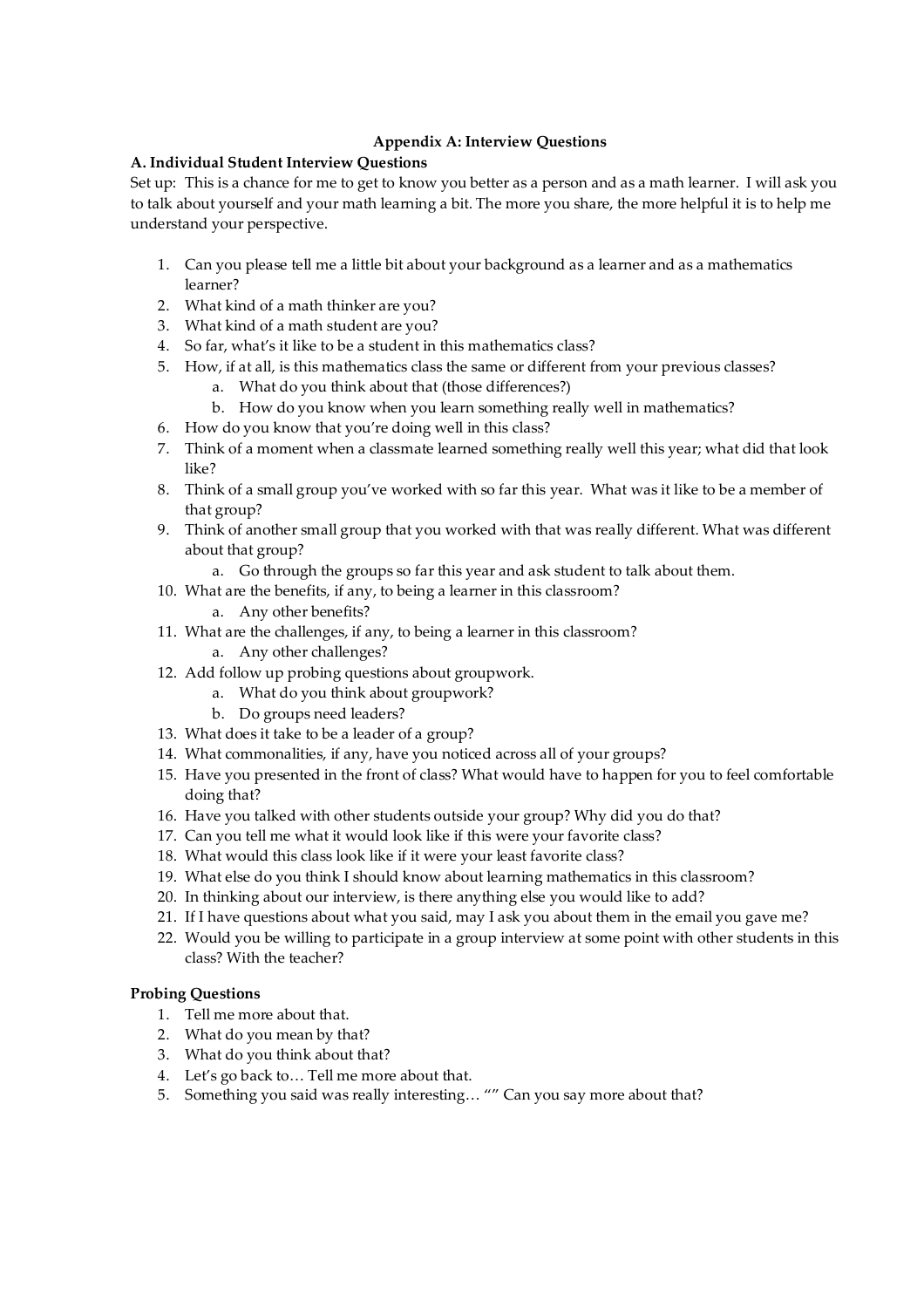# **Appendix A: Interview Questions**

# **A. Individual Student Interview Questions**

Set up: This is a chance for me to get to know you better as a person and as a math learner. I will ask you to talk about yourself and your math learning a bit. The more you share, the more helpful it is to help me understand your perspective.

- 1. Can you please tell me a little bit about your background as a learner and as a mathematics learner?
- 2. What kind of a math thinker are you?
- 3. What kind of a math student are you?
- 4. So far, what's it like to be a student in this mathematics class?
- 5. How, if at all, is this mathematics class the same or different from your previous classes?
	- a. What do you think about that (those differences?)
	- b. How do you know when you learn something really well in mathematics?
- 6. How do you know that you're doing well in this class?
- 7. Think of a moment when a classmate learned something really well this year; what did that look like?
- 8. Think of a small group you've worked with so far this year. What was it like to be a member of that group?
- 9. Think of another small group that you worked with that was really different. What was different about that group?
	- a. Go through the groups so far this year and ask student to talk about them.
- 10. What are the benefits, if any, to being a learner in this classroom?
	- a. Any other benefits?
- 11. What are the challenges, if any, to being a learner in this classroom? a. Any other challenges?
- 12. Add follow up probing questions about groupwork.
	- a. What do you think about groupwork?
	- b. Do groups need leaders?
- 13. What does it take to be a leader of a group?
- 14. What commonalities, if any, have you noticed across all of your groups?
- 15. Have you presented in the front of class? What would have to happen for you to feel comfortable doing that?
- 16. Have you talked with other students outside your group? Why did you do that?
- 17. Can you tell me what it would look like if this were your favorite class?
- 18. What would this class look like if it were your least favorite class?
- 19. What else do you think I should know about learning mathematics in this classroom?
- 20. In thinking about our interview, is there anything else you would like to add?
- 21. If I have questions about what you said, may I ask you about them in the email you gave me?
- 22. Would you be willing to participate in a group interview at some point with other students in this class? With the teacher?

# **Probing Questions**

- 1. Tell me more about that.
- 2. What do you mean by that?
- 3. What do you think about that?
- 4. Let's go back to… Tell me more about that.
- 5. Something you said was really interesting… "" Can you say more about that?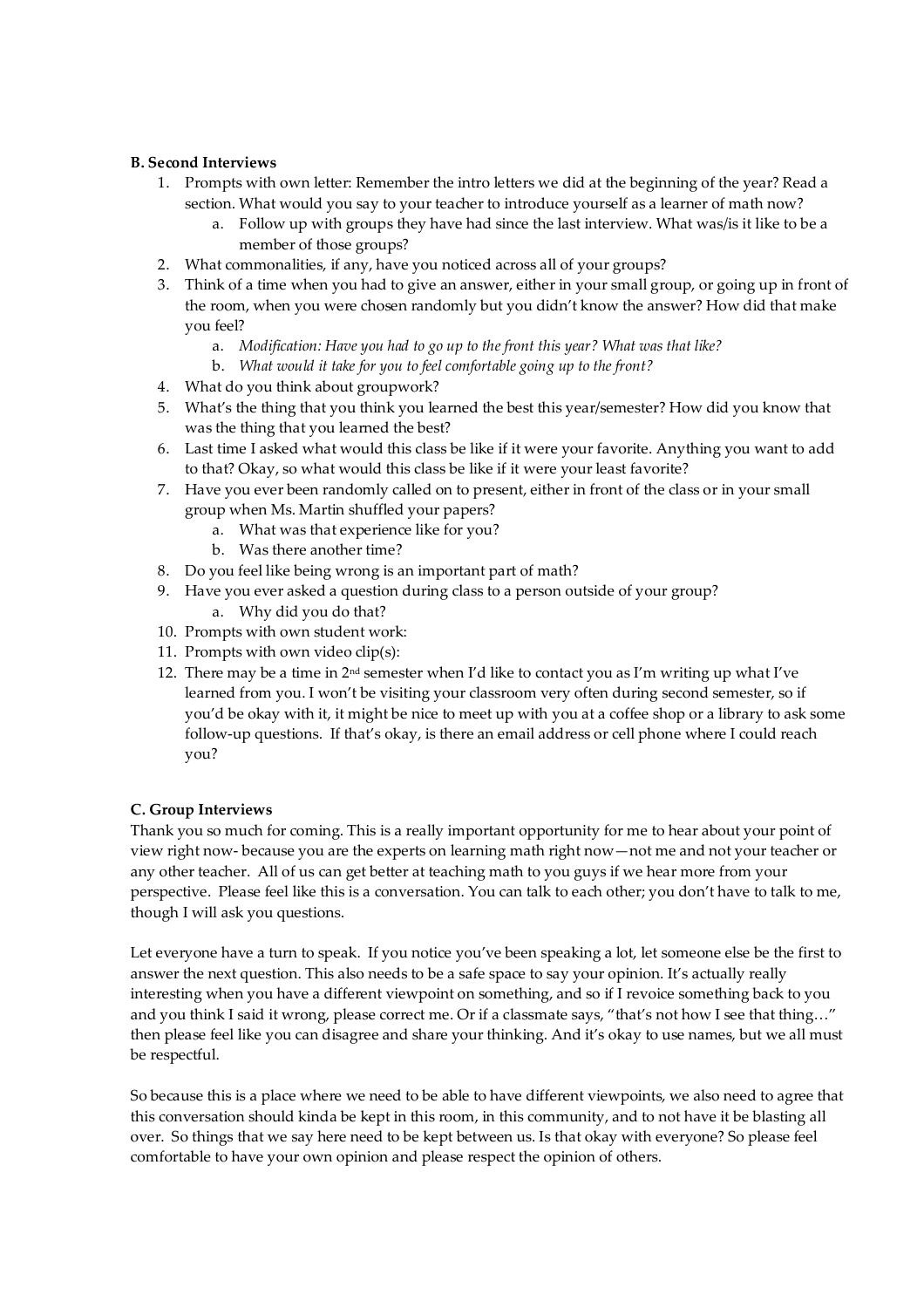# **B. Second Interviews**

- 1. Prompts with own letter: Remember the intro letters we did at the beginning of the year? Read a section. What would you say to your teacher to introduce yourself as a learner of math now?
	- a. Follow up with groups they have had since the last interview. What was/is it like to be a member of those groups?
- 2. What commonalities, if any, have you noticed across all of your groups?
- 3. Think of a time when you had to give an answer, either in your small group, or going up in front of the room, when you were chosen randomly but you didn't know the answer? How did that make you feel?
	- a. *Modification: Have you had to go up to the front this year? What was that like?*
	- b. *What would it take for you to feel comfortable going up to the front?*
- 4. What do you think about groupwork?
- 5. What's the thing that you think you learned the best this year/semester? How did you know that was the thing that you learned the best?
- 6. Last time I asked what would this class be like if it were your favorite. Anything you want to add to that? Okay, so what would this class be like if it were your least favorite?
- 7. Have you ever been randomly called on to present, either in front of the class or in your small group when Ms. Martin shuffled your papers?
	- a. What was that experience like for you?
	- b. Was there another time?
- 8. Do you feel like being wrong is an important part of math?
- 9. Have you ever asked a question during class to a person outside of your group?
	- a. Why did you do that?
- 10. Prompts with own student work:
- 11. Prompts with own video clip(s):
- 12. There may be a time in  $2<sup>nd</sup>$  semester when I'd like to contact you as I'm writing up what I've learned from you. I won't be visiting your classroom very often during second semester, so if you'd be okay with it, it might be nice to meet up with you at a coffee shop or a library to ask some follow-up questions. If that's okay, is there an email address or cell phone where I could reach you?

# **C. Group Interviews**

Thank you so much for coming. This is a really important opportunity for me to hear about your point of view right now- because you are the experts on learning math right now—not me and not your teacher or any other teacher. All of us can get better at teaching math to you guys if we hear more from your perspective. Please feel like this is a conversation. You can talk to each other; you don't have to talk to me, though I will ask you questions.

Let everyone have a turn to speak. If you notice you've been speaking a lot, let someone else be the first to answer the next question. This also needs to be a safe space to say your opinion. It's actually really interesting when you have a different viewpoint on something, and so if I revoice something back to you and you think I said it wrong, please correct me. Or if a classmate says, "that's not how I see that thing..." then please feel like you can disagree and share your thinking. And it's okay to use names, but we all must be respectful.

So because this is a place where we need to be able to have different viewpoints, we also need to agree that this conversation should kinda be kept in this room, in this community, and to not have it be blasting all over. So things that we say here need to be kept between us. Is that okay with everyone? So please feel comfortable to have your own opinion and please respect the opinion of others.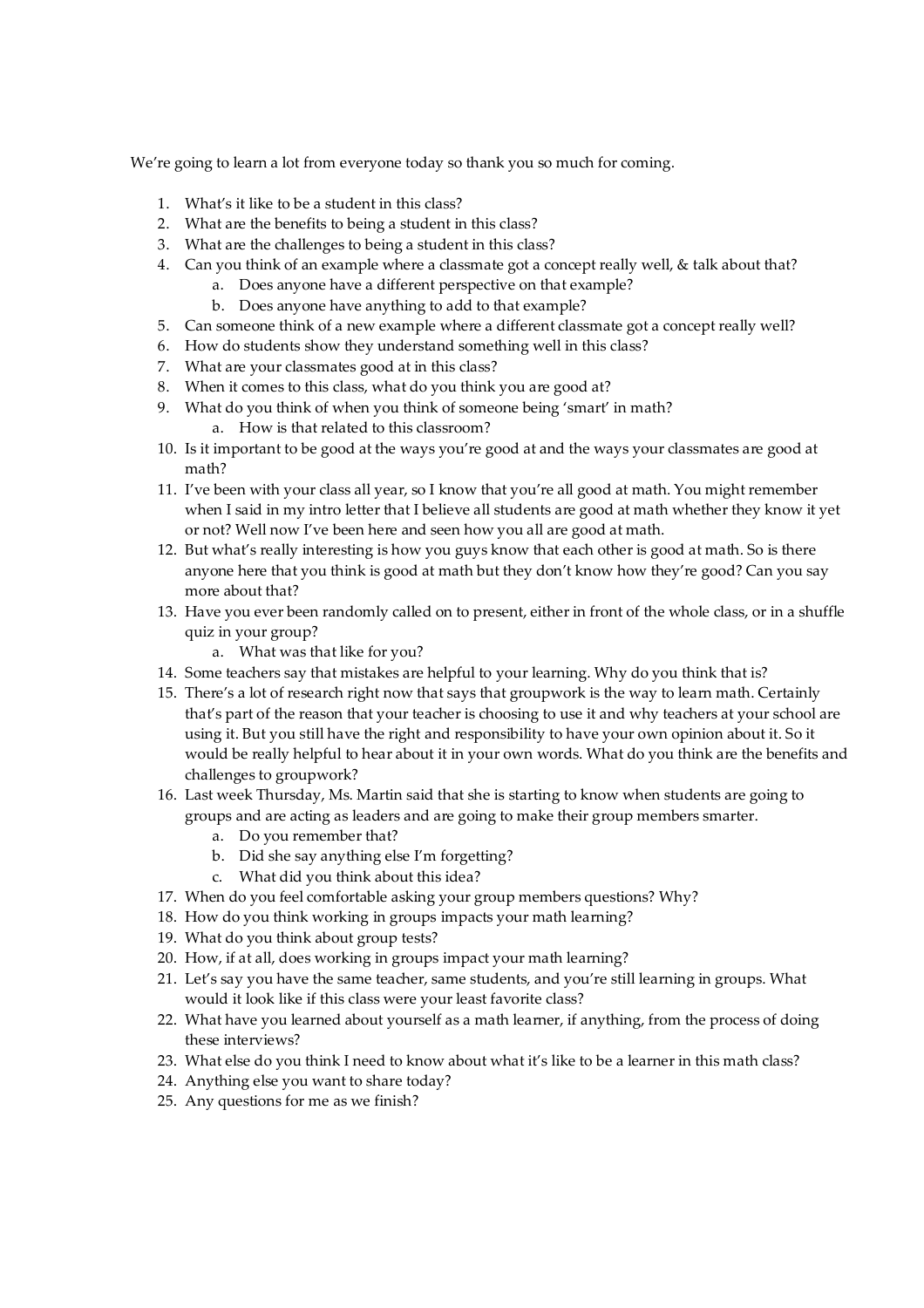We're going to learn a lot from everyone today so thank you so much for coming.

- 1. What's it like to be a student in this class?
- 2. What are the benefits to being a student in this class?
- 3. What are the challenges to being a student in this class?
- 4. Can you think of an example where a classmate got a concept really well, & talk about that? a. Does anyone have a different perspective on that example?
	- b. Does anyone have anything to add to that example?
- 5. Can someone think of a new example where a different classmate got a concept really well?
- 6. How do students show they understand something well in this class?
- 7. What are your classmates good at in this class?
- 8. When it comes to this class, what do you think you are good at?
- 9. What do you think of when you think of someone being 'smart' in math? a. How is that related to this classroom?
- 10. Is it important to be good at the ways you're good at and the ways your classmates are good at math?
- 11. I've been with your class all year, so I know that you're all good at math. You might remember when I said in my intro letter that I believe all students are good at math whether they know it yet or not? Well now I've been here and seen how you all are good at math.
- 12. But what's really interesting is how you guys know that each other is good at math. So is there anyone here that you think is good at math but they don't know how they're good? Can you say more about that?
- 13. Have you ever been randomly called on to present, either in front of the whole class, or in a shuffle quiz in your group?
	- a. What was that like for you?
- 14. Some teachers say that mistakes are helpful to your learning. Why do you think that is?
- 15. There's a lot of research right now that says that groupwork is the way to learn math. Certainly that's part of the reason that your teacher is choosing to use it and why teachers at your school are using it. But you still have the right and responsibility to have your own opinion about it. So it would be really helpful to hear about it in your own words. What do you think are the benefits and challenges to groupwork?
- 16. Last week Thursday, Ms. Martin said that she is starting to know when students are going to groups and are acting as leaders and are going to make their group members smarter.
	- a. Do you remember that?
	- b. Did she say anything else I'm forgetting?
	- c. What did you think about this idea?
- 17. When do you feel comfortable asking your group members questions? Why?
- 18. How do you think working in groups impacts your math learning?
- 19. What do you think about group tests?
- 20. How, if at all, does working in groups impact your math learning?
- 21. Let's say you have the same teacher, same students, and you're still learning in groups. What would it look like if this class were your least favorite class?
- 22. What have you learned about yourself as a math learner, if anything, from the process of doing these interviews?
- 23. What else do you think I need to know about what it's like to be a learner in this math class?
- 24. Anything else you want to share today?
- 25. Any questions for me as we finish?